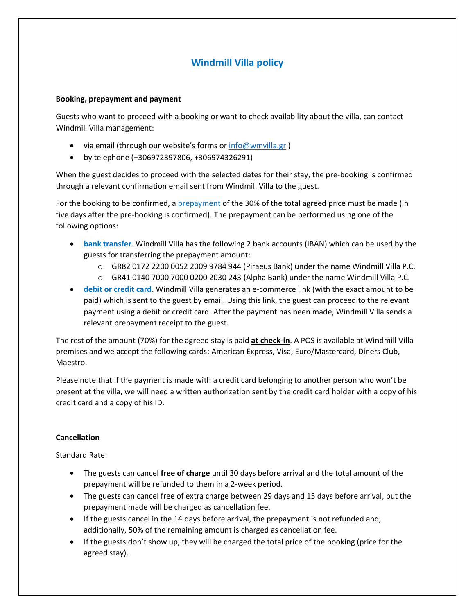# **Windmill Villa policy**

### **Booking, prepayment and payment**

Guests who want to proceed with a booking or want to check availability about the villa, can contact Windmill Villa management:

- via email (through our website's forms or [info@wmvilla.gr](mailto:info@wmvilla.gr))
- by telephone (+306972397806, +306974326291)

When the guest decides to proceed with the selected dates for their stay, the pre-booking is confirmed through a relevant confirmation email sent from Windmill Villa to the guest.

For the booking to be confirmed, a prepayment of the 30% of the total agreed price must be made (in five days after the pre-booking is confirmed). The prepayment can be performed using one of the following options:

- **bank transfer**. Windmill Villa has the following 2 bank accounts (IBAN) which can be used by the guests for transferring the prepayment amount:
	- $\circ$  GR82 0172 2200 0052 2009 9784 944 (Piraeus Bank) under the name Windmill Villa P.C.
	- $\circ$  GR41 0140 7000 7000 0200 2030 243 (Alpha Bank) under the name Windmill Villa P.C.
- **debit or credit card**. Windmill Villa generates an e-commerce link (with the exact amount to be paid) which is sent to the guest by email. Using this link, the guest can proceed to the relevant payment using a debit or credit card. After the payment has been made, Windmill Villa sends a relevant prepayment receipt to the guest.

The rest of the amount (70%) for the agreed stay is paid **at check-in**. A POS is available at Windmill Villa premises and we accept the following cards: American Express, Visa, Euro/Mastercard, Diners Club, Maestro.

Please note that if the payment is made with a credit card belonging to another person who won't be present at the villa, we will need a written authorization sent by the credit card holder with a copy of his credit card and a copy of his ID.

## **Cancellation**

Standard Rate:

- The guests can cancel **free of charge** until 30 days before arrival and the total amount of the prepayment will be refunded to them in a 2-week period.
- The guests can cancel free of extra charge between 29 days and 15 days before arrival, but the prepayment made will be charged as cancellation fee.
- If the guests cancel in the 14 days before arrival, the prepayment is not refunded and, additionally, 50% of the remaining amount is charged as cancellation fee.
- If the guests don't show up, they will be charged the total price of the booking (price for the agreed stay).